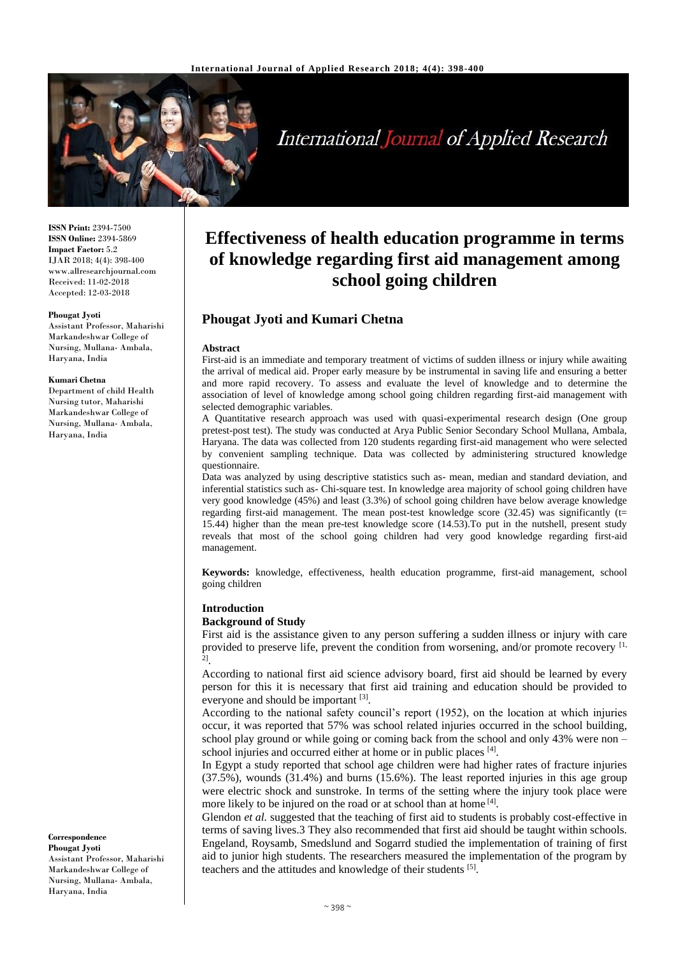

# **International Journal of Applied Research**

**ISSN Print:** 2394-7500 **ISSN Online:** 2394-5869 **Impact Factor:** 5.2 IJAR 2018; 4(4): 398-400 www.allresearchjournal.com Received: 11-02-2018 Accepted: 12-03-2018

#### **Phougat Jyoti**

Assistant Professor, Maharishi Markandeshwar College of Nursing, Mullana- Ambala, Haryana, India

#### **Kumari Chetna**

Department of child Health Nursing tutor, Maharishi Markandeshwar College of Nursing, Mullana- Ambala, Haryana, India

## **Effectiveness of health education programme in terms of knowledge regarding first aid management among school going children**

### **Phougat Jyoti and Kumari Chetna**

#### **Abstract**

First-aid is an immediate and temporary treatment of victims of sudden illness or injury while awaiting the arrival of medical aid. Proper early measure by be instrumental in saving life and ensuring a better and more rapid recovery. To assess and evaluate the level of knowledge and to determine the association of level of knowledge among school going children regarding first-aid management with selected demographic variables.

A Quantitative research approach was used with quasi-experimental research design (One group pretest-post test). The study was conducted at Arya Public Senior Secondary School Mullana, Ambala, Haryana. The data was collected from 120 students regarding first-aid management who were selected by convenient sampling technique. Data was collected by administering structured knowledge questionnaire.

Data was analyzed by using descriptive statistics such as- mean, median and standard deviation, and inferential statistics such as- Chi-square test. In knowledge area majority of school going children have very good knowledge (45%) and least (3.3%) of school going children have below average knowledge regarding first-aid management. The mean post-test knowledge score  $(32.45)$  was significantly (t= 15.44) higher than the mean pre-test knowledge score (14.53).To put in the nutshell, present study reveals that most of the school going children had very good knowledge regarding first-aid management.

**Keywords:** knowledge, effectiveness, health education programme, first-aid management, school going children

#### **Introduction**

#### **Background of Study**

First aid is the assistance given to any person suffering a sudden illness or injury with care provided to preserve life, prevent the condition from worsening, and/or promote recovery  $\left[1\right]$ , 2] .

According to national first aid science advisory board, first aid should be learned by every person for this it is necessary that first aid training and education should be provided to everyone and should be important [3].

According to the national safety council's report (1952), on the location at which injuries occur, it was reported that 57% was school related injuries occurred in the school building, school play ground or while going or coming back from the school and only 43% were non – school injuries and occurred either at home or in public places [4].

In Egypt a study reported that school age children were had higher rates of fracture injuries (37.5%), wounds (31.4%) and burns (15.6%). The least reported injuries in this age group were electric shock and sunstroke. In terms of the setting where the injury took place were more likely to be injured on the road or at school than at home<sup>[4]</sup>.

Glendon *et al.* suggested that the teaching of first aid to students is probably cost-effective in terms of saving lives.3 They also recommended that first aid should be taught within schools. Engeland, Roysamb, Smedslund and Sogarrd studied the implementation of training of first aid to junior high students. The researchers measured the implementation of the program by teachers and the attitudes and knowledge of their students [5].

**Correspondence Phougat Jyoti** Assistant Professor, Maharishi Markandeshwar College of Nursing, Mullana- Ambala, Haryana, India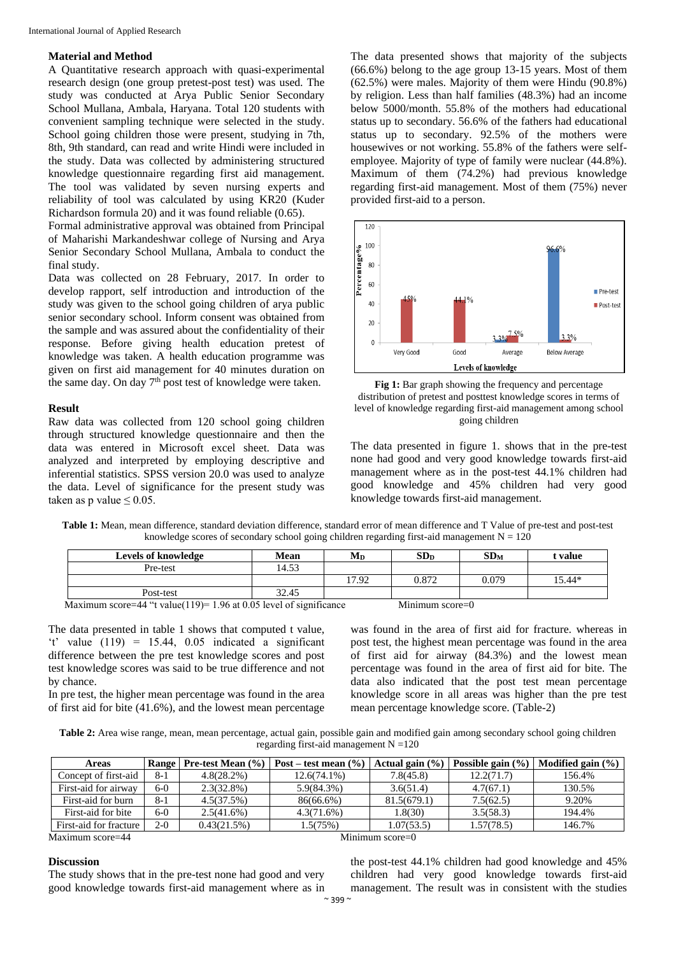#### **Material and Method**

A Quantitative research approach with quasi-experimental research design (one group pretest-post test) was used. The study was conducted at Arya Public Senior Secondary School Mullana, Ambala, Haryana. Total 120 students with convenient sampling technique were selected in the study. School going children those were present, studying in 7th, 8th, 9th standard, can read and write Hindi were included in the study. Data was collected by administering structured knowledge questionnaire regarding first aid management. The tool was validated by seven nursing experts and reliability of tool was calculated by using KR20 (Kuder Richardson formula 20) and it was found reliable (0.65).

Formal administrative approval was obtained from Principal of Maharishi Markandeshwar college of Nursing and Arya Senior Secondary School Mullana, Ambala to conduct the final study.

Data was collected on 28 February, 2017. In order to develop rapport, self introduction and introduction of the study was given to the school going children of arya public senior secondary school. Inform consent was obtained from the sample and was assured about the confidentiality of their response. Before giving health education pretest of knowledge was taken. A health education programme was given on first aid management for 40 minutes duration on the same day. On day  $7<sup>th</sup>$  post test of knowledge were taken.

#### **Result**

Raw data was collected from 120 school going children through structured knowledge questionnaire and then the data was entered in Microsoft excel sheet. Data was analyzed and interpreted by employing descriptive and inferential statistics. SPSS version 20.0 was used to analyze the data. Level of significance for the present study was taken as p value  $\leq 0.05$ .

The data presented shows that majority of the subjects (66.6%) belong to the age group 13-15 years. Most of them (62.5%) were males. Majority of them were Hindu (90.8%) by religion. Less than half families (48.3%) had an income below 5000/month. 55.8% of the mothers had educational status up to secondary. 56.6% of the fathers had educational status up to secondary. 92.5% of the mothers were housewives or not working. 55.8% of the fathers were selfemployee. Majority of type of family were nuclear (44.8%). Maximum of them (74.2%) had previous knowledge regarding first-aid management. Most of them (75%) never provided first-aid to a person.





The data presented in figure 1. shows that in the pre-test none had good and very good knowledge towards first-aid management where as in the post-test 44.1% children had good knowledge and 45% children had very good knowledge towards first-aid management.

**Table 1:** Mean, mean difference, standard deviation difference, standard error of mean difference and T Value of pre-test and post-test knowledge scores of secondary school going children regarding first-aid management  $N = 120$ 

| Levels of knowledge                                                                                                                                              | Mean  | $M_{D}$ | SD <sub>D</sub> | SD <sub>M</sub> | t value |
|------------------------------------------------------------------------------------------------------------------------------------------------------------------|-------|---------|-----------------|-----------------|---------|
| Pre-test                                                                                                                                                         | 4.53  |         |                 |                 |         |
|                                                                                                                                                                  |       | 17.92   | 0.872           | 0.079           | 15.44*  |
| Post-test                                                                                                                                                        | 32.45 |         |                 |                 |         |
| $M_{\text{eff}}$ $\sim$ $\sim$ $\sim$ $\sim$ $M_{\text{eff}}$ $\sim$ $M_{\text{eff}}$ $\sim$ $(110) - 1.06 \times 0.05$ layed $\sim$ $\sim$ $\sim$ $\sim$ $\sim$ |       |         |                 |                 |         |

Maximum score=44 "t value(119)= 1.96 at 0.05 level of significance Minimum score=0

The data presented in table 1 shows that computed t value, 't' value  $(119) = 15.44$ ,  $(0.05)$  indicated a significant difference between the pre test knowledge scores and post test knowledge scores was said to be true difference and not by chance.

In pre test, the higher mean percentage was found in the area of first aid for bite (41.6%), and the lowest mean percentage

was found in the area of first aid for fracture. whereas in post test, the highest mean percentage was found in the area of first aid for airway (84.3%) and the lowest mean percentage was found in the area of first aid for bite. The data also indicated that the post test mean percentage knowledge score in all areas was higher than the pre test mean percentage knowledge score. (Table-2)

**Table 2:** Area wise range, mean, mean percentage, actual gain, possible gain and modified gain among secondary school going children regarding first-aid management  $N = 120$ 

| <b>Areas</b>           |                   | Range   Pre-test Mean $(\% )$ | Post – test mean $(\% )$ | Actual gain $(\% )$ |            | Possible gain $(\% )$   Modified gain $(\% )$ |  |  |
|------------------------|-------------------|-------------------------------|--------------------------|---------------------|------------|-----------------------------------------------|--|--|
| Concept of first-aid   | $8-1$             | $4.8(28.2\%)$                 | $12.6(74.1\%)$           | 7.8(45.8)           | 12.2(71.7) | 156.4%                                        |  |  |
| First-aid for airway   | $6-0$             | $2.3(32.8\%)$                 | $5.9(84.3\%)$            | 3.6(51.4)           | 4.7(67.1)  | 130.5%                                        |  |  |
| First-aid for burn     | $8-1$             | 4.5(37.5%)                    | 86(66.6%)                | 81.5(679.1)         | 7.5(62.5)  | 9.20%                                         |  |  |
| First-aid for bite     | $6-0$             | 2.5(41.6%)                    | 4.3(71.6%)               | 1.8(30)             | 3.5(58.3)  | 194.4%                                        |  |  |
| First-aid for fracture | $2 - 0$           | 0.43(21.5%)                   | 1.5(75%)                 | 1.07(53.5)          | 1.57(78.5) | 146.7%                                        |  |  |
| Maximum score=44       | Minimum $score=0$ |                               |                          |                     |            |                                               |  |  |

#### **Discussion**

The study shows that in the pre-test none had good and very good knowledge towards first-aid management where as in

the post-test 44.1% children had good knowledge and 45% children had very good knowledge towards first-aid management. The result was in consistent with the studies